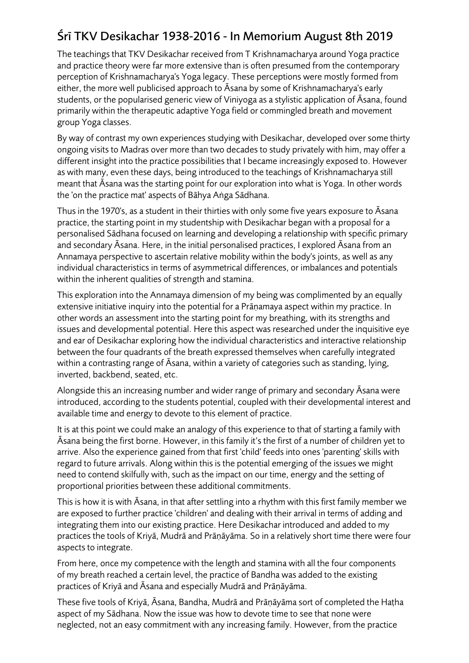## Śrī TKV Desikachar 1938-2016 - In Memorium August 8th 2019

The teachings that TKV Desikachar received from T Krishnamacharya around Yoga practice and practice theory were far more extensive than is often presumed from the contemporary perception of Krishnamacharya's Yoga legacy. These perceptions were mostly formed from either, the more well publicised approach to Āsana by some of Krishnamacharya's early students, or the popularised generic view of Viniyoga as a stylistic application of Āsana, found primarily within the therapeutic adaptive Yoga field or commingled breath and movement group Yoga classes.

By way of contrast my own experiences studying with Desikachar, developed over some thirty ongoing visits to Madras over more than two decades to study privately with him, may offer a different insight into the practice possibilities that I became increasingly exposed to. However as with many, even these days, being introduced to the teachings of Krishnamacharya still meant that Āsana was the starting point for our exploration into what is Yoga. In other words the 'on the practice mat' aspects of Bāhya Aṅga Sādhana.

Thus in the 1970's, as a student in their thirties with only some five years exposure to Āsana practice, the starting point in my studentship with Desikachar began with a proposal for a personalised Sādhana focused on learning and developing a relationship with specific primary and secondary Āsana. Here, in the initial personalised practices, I explored Āsana from an Annamaya perspective to ascertain relative mobility within the body's joints, as well as any individual characteristics in terms of asymmetrical differences, or imbalances and potentials within the inherent qualities of strength and stamina.

This exploration into the Annamaya dimension of my being was complimented by an equally extensive initiative inquiry into the potential for a Prānamaya aspect within my practice. In other words an assessment into the starting point for my breathing, with its strengths and issues and developmental potential. Here this aspect was researched under the inquisitive eye and ear of Desikachar exploring how the individual characteristics and interactive relationship between the four quadrants of the breath expressed themselves when carefully integrated within a contrasting range of Āsana, within a variety of categories such as standing, lying, inverted, backbend, seated, etc.

Alongside this an increasing number and wider range of primary and secondary Āsana were introduced, according to the students potential, coupled with their developmental interest and available time and energy to devote to this element of practice.

It is at this point we could make an analogy of this experience to that of starting a family with Āsana being the first borne. However, in this family it's the first of a number of children yet to arrive. Also the experience gained from that first 'child' feeds into ones 'parenting' skills with regard to future arrivals. Along within this is the potential emerging of the issues we might need to contend skilfully with, such as the impact on our time, energy and the setting of proportional priorities between these additional commitments.

This is how it is with Āsana, in that after settling into a rhythm with this first family member we are exposed to further practice 'children' and dealing with their arrival in terms of adding and integrating them into our existing practice. Here Desikachar introduced and added to my practices the tools of Kriyā, Mudrā and Prāṇāyāma. So in a relatively short time there were four aspects to integrate.

From here, once my competence with the length and stamina with all the four components of my breath reached a certain level, the practice of Bandha was added to the existing practices of Kriyā and Āsana and especially Mudrā and Prāṇāyāma.

These five tools of Kriyā, Āsana, Bandha, Mudrā and Prāṇāyāma sort of completed the Haṭha aspect of my Sādhana. Now the issue was how to devote time to see that none were neglected, not an easy commitment with any increasing family. However, from the practice